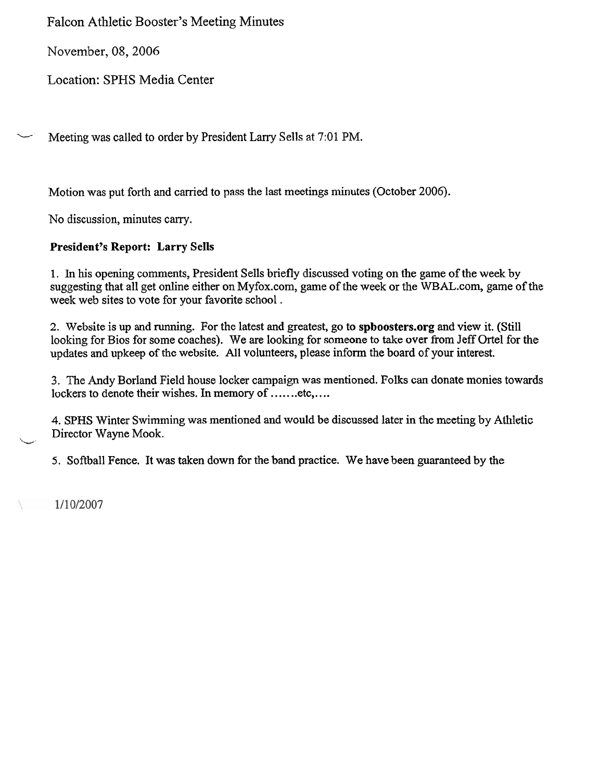Falcon Athletic Booster's Meeting Minutes

November, 08,2006

Location: SPHS Media Center

Meeting was called to order by President Larry Sells at 7:01 PM.

Motion was put forth **and** camed to pass the last meetings minutes (October 2006).

No discussion, minutes carry.

## **President's Report: Larry Sells**

1. In his opening comments, President Sells briefly discussed voting on the game of the week by suggesting that all get online either on Myfox.com, game of the week or the WBAL.com, game of the week web sites to vote for your favorite school .

2, Website is up and running. For the latest **and** greatest, go to **spboosters.org** and view it. (Still looking for Bios for some coaches). We are looking for someone to take over from Jeff Ortel for the updates and upkeep of the website. All volunteers, please inform the board of your interest.

**3.** The Andy Borland Field house locker campaign was mentioned. Folks can donate monies towards lockers to denote their wishes. In memory of .......etc,....

4. SPHS Winter Swimming was mentioned and would be discussed later in the meeting by Athletic Director Wayne Mook.

5. Softball Fence. It was taken down for the band practice. We have been guaranteed by the

1/10/2007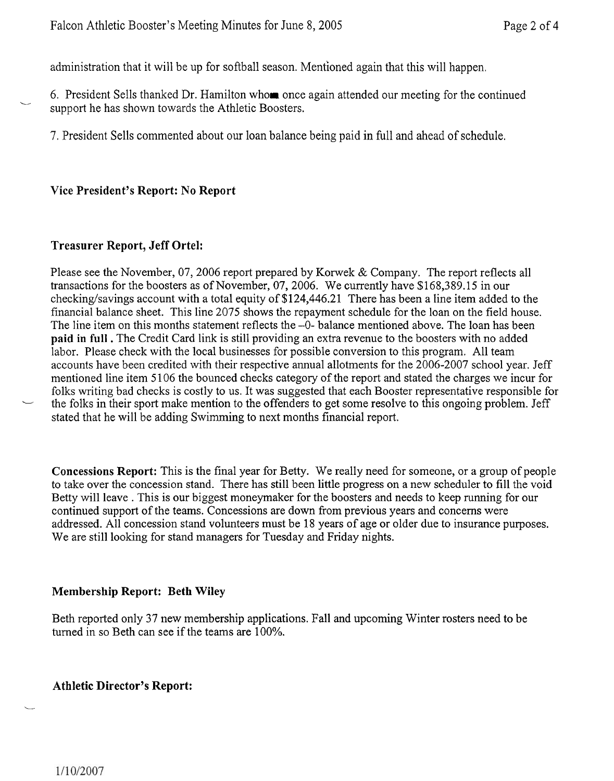administration that it will be up for softball season. Mentioned again that this will happen.

6. President Sells thanked Dr. Hamilton whom once again attended our meeting for the continued support he has shown towards the Athletic Boosters.

7. President Sells commented about our loan balance being paid in full and ahead of schedule.

#### **Vice President's Report: No Report**

#### **Treasurer Report, Jeff Ortel:**

**b** 

Please see the November, 07, 2006 report prepared by Korwek & Company. The report reflects all transactions for the boosters as of November, 07,2006. We currently have \$168,389.15 in our checking/savings account with a total equity of  $$124,446.21$  There has been a line item added to the financial balance sheet. This line 2075 shows the repayment schedule for the loan on the field house. The line item on this months statement reflects the -0- balance mentioned above. The loan has been **paid in full** . The Credit Card link is still providing an extra revenue to the boosters with no added labor. Please check with the local businesses for possible conversion to this program. All team accounts have been credited with their respective annual allotments for the 2006-2007 school year. Jeff mentioned line item 5 106 the bounced checks category of the report and stated the charges we incur for folks writing bad checks is costly to us. It was suggested that each Booster representative responsible for mentioned line item 5106 the bounced checks category of the report and stated the charges we incur for<br>folks writing bad checks is costly to us. It was suggested that each Booster representative responsible for<br>the folks i stated that he will be adding Swimming to next months financial report.

**Concessions Report:** This is the final year for Betty. We really need for someone, or a group of people to take over the concession stand. There has still been little progress on a new scheduler to fill the void Betty will leave . This is our biggest moneymaker for the boosters and needs to keep running for our continued support of the teams. Concessions are down from previous years and concerns were addressed. All concession stand volunteers must be 18 years of age or older due to insurance purposes. We are still looking for stand managers for Tuesday and Friday nights.

#### **Membership Report: Beth Wiley**

Beth reported only 37 new membership applications. Fall and upcoming Winter rosters need to be turned in so Beth can see if the teams are 100%.

#### **Athletic Director's Report:**

 $\overline{\phantom{a}}$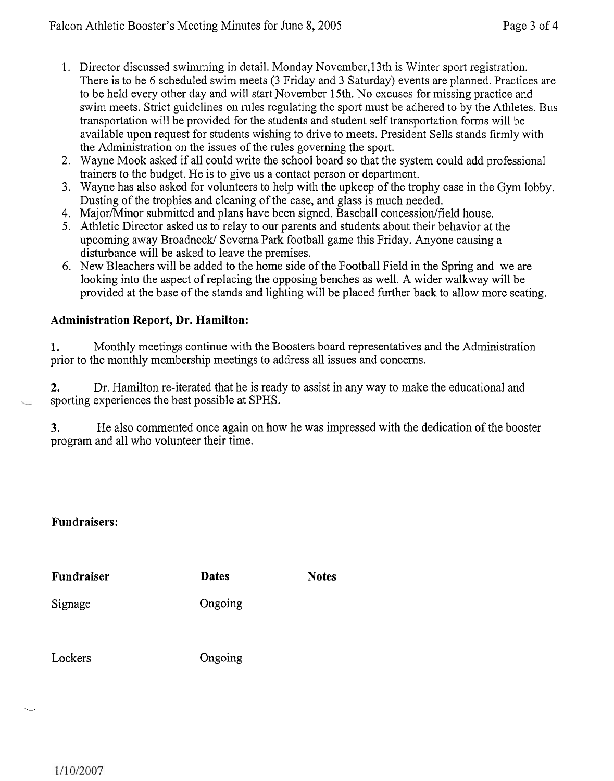- 1. Director discussed swimming in detail. Monday November, 13 th is Winter sport registration. There is to be 6 scheduled swim meets (3 Friday and 3 Saturday) events are planned. Practices are to be held every other day and will start November 15th. No excuses for missing practice and swim meets. Strict guidelines on rules regulating the sport must be adhered to by the Athletes. Bus transportation will be provided for the students and student self transportation forms will be available upon request for students wishing to drive to meets. President Sells stands firmly with the Administration on the issues of the rules governing the sport.
- 2. Wayne Mook asked if all could write the school board so that the system could add professional trainers to the budget. He is to give us a contact person or department.
- 3. Wayne has also asked for volunteers to help with the upkeep of the trophy case in the Gym lobby. Dusting of the trophies and cleaning of the case, and glass is much needed.
- 4. Major/Minor submitted and plans have been signed. Baseball concession/field house.
- 5. Athletic Director asked us to relay to our parents and students about their behavior at the upcoming away Broadneck/ Severna Park football game this Friday. Anyone causing a disturbance will be asked to leave the premises.
- 6. New Bleachers will be added to the home side of the Football Field in the Spring and we are looking into the aspect of replacing the opposing benches as well. A wider walkway will be provided at the base of the stands and lighting will be placed further back to allow more seating.

## **Administration Report, Dr. Hamilton:**

**1.** Monthly meetings continue with the Boosters board representatives and the Administration prior to the monthly membership meetings to address all issues and concerns.

**2.** Dr. Hamilton re-iterated that he is ready to assist in any way to make the educational and sporting experiences the best possible at SPHS.

**3.** He also commented once again on how he was impressed with the dedication of the booster program and all who volunteer their time.

## **Fundraisers:**

| Fundraiser | <b>Dates</b> | <b>Notes</b> |
|------------|--------------|--------------|
| Signage    | Ongoing      |              |
| Lockers    | Ongoing      |              |

*-4*